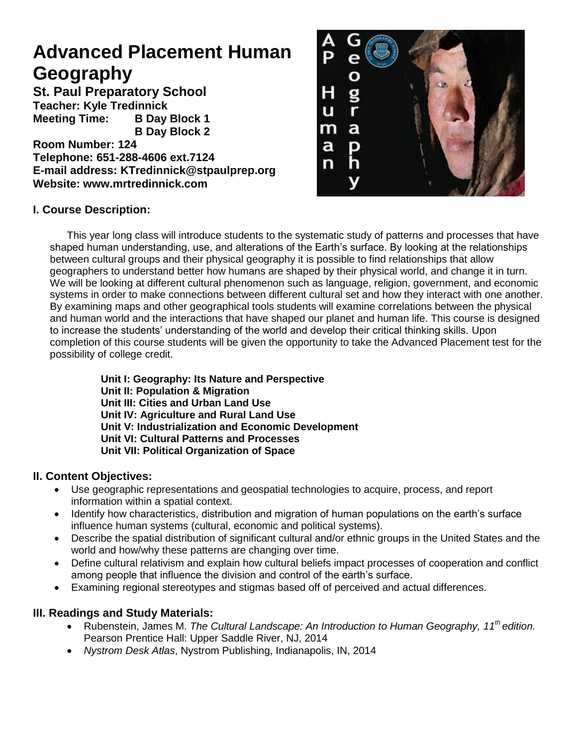# **Advanced Placement Human Geography**

**St. Paul Preparatory School Teacher: Kyle Tredinnick Meeting Time: B Day Block 1 B Day Block 2** 

**Room Number: 124 Telephone: 651-288-4606 ext.7124 E-mail address: KTredinnick@stpaulprep.org Website: www.mrtredinnick.com**



# **I. Course Description:**

This year long class will introduce students to the systematic study of patterns and processes that have shaped human understanding, use, and alterations of the Earth's surface. By looking at the relationships between cultural groups and their physical geography it is possible to find relationships that allow geographers to understand better how humans are shaped by their physical world, and change it in turn. We will be looking at different cultural phenomenon such as language, religion, government, and economic systems in order to make connections between different cultural set and how they interact with one another. By examining maps and other geographical tools students will examine correlations between the physical and human world and the interactions that have shaped our planet and human life. This course is designed to increase the students' understanding of the world and develop their critical thinking skills. Upon completion of this course students will be given the opportunity to take the Advanced Placement test for the possibility of college credit.

**Unit I: Geography: Its Nature and Perspective Unit II: Population & Migration Unit III: Cities and Urban Land Use Unit IV: Agriculture and Rural Land Use Unit V: Industrialization and Economic Development Unit VI: Cultural Patterns and Processes Unit VII: Political Organization of Space**

# **II. Content Objectives:**

- Use geographic representations and geospatial technologies to acquire, process, and report information within a spatial context.
- Identify how characteristics, distribution and migration of human populations on the earth's surface influence human systems (cultural, economic and political systems).
- Describe the spatial distribution of significant cultural and/or ethnic groups in the United States and the world and how/why these patterns are changing over time.
- Define cultural relativism and explain how cultural beliefs impact processes of cooperation and conflict among people that influence the division and control of the earth's surface.
- Examining regional stereotypes and stigmas based off of perceived and actual differences.

# **III. Readings and Study Materials:**

- Rubenstein, James M. *The Cultural Landscape: An Introduction to Human Geography, 11th edition.* Pearson Prentice Hall: Upper Saddle River, NJ, 2014
- *Nystrom Desk Atlas*, Nystrom Publishing, Indianapolis, IN, 2014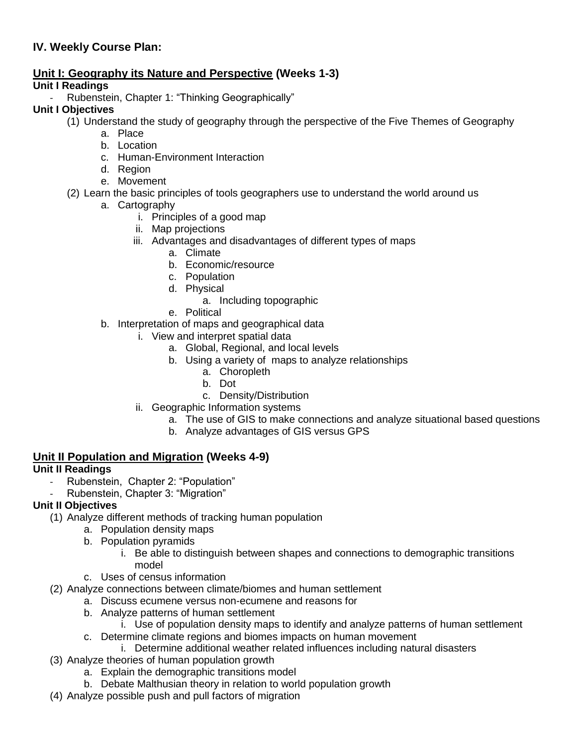# **IV. Weekly Course Plan:**

# **Unit I: Geography its Nature and Perspective (Weeks 1-3)**

#### **Unit I Readings**

Rubenstein, Chapter 1: "Thinking Geographically"

#### **Unit I Objectives**

- (1) Understand the study of geography through the perspective of the Five Themes of Geography
	- a. Place
		- b. Location
		- c. Human-Environment Interaction
		- d. Region
		- e. Movement
- (2) Learn the basic principles of tools geographers use to understand the world around us
	- a. Cartography
		- i. Principles of a good map
		- ii. Map projections
		- iii. Advantages and disadvantages of different types of maps
			- a. Climate
			- b. Economic/resource
			- c. Population
			- d. Physical
				- a. Including topographic
			- e. Political
	- b. Interpretation of maps and geographical data
		- i. View and interpret spatial data
			- a. Global, Regional, and local levels
			- b. Using a variety of maps to analyze relationships
				- a. Choropleth
				- b. Dot
				- c. Density/Distribution
		- ii. Geographic Information systems
			- a. The use of GIS to make connections and analyze situational based questions
			- b. Analyze advantages of GIS versus GPS

#### **Unit II Population and Migration (Weeks 4-9)**

# **Unit II Readings**

- Rubenstein, Chapter 2: "Population"
- Rubenstein, Chapter 3: "Migration"

#### **Unit II Objectives**

- (1) Analyze different methods of tracking human population
	- a. Population density maps
	- b. Population pyramids
		- i. Be able to distinguish between shapes and connections to demographic transitions model
	- c. Uses of census information
- (2) Analyze connections between climate/biomes and human settlement
	- a. Discuss ecumene versus non-ecumene and reasons for
		- b. Analyze patterns of human settlement
			- i. Use of population density maps to identify and analyze patterns of human settlement
		- c. Determine climate regions and biomes impacts on human movement
			- i. Determine additional weather related influences including natural disasters
- (3) Analyze theories of human population growth
	- a. Explain the demographic transitions model
	- b. Debate Malthusian theory in relation to world population growth
- (4) Analyze possible push and pull factors of migration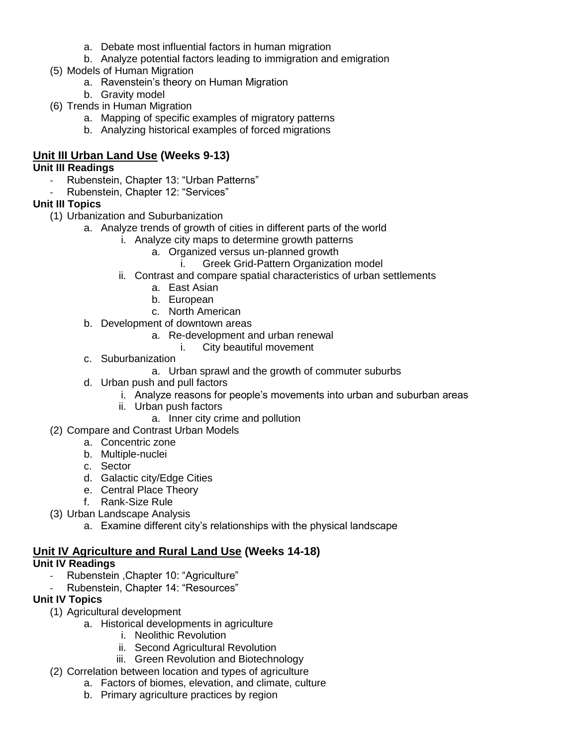- a. Debate most influential factors in human migration
- b. Analyze potential factors leading to immigration and emigration
- (5) Models of Human Migration
	- a. Ravenstein's theory on Human Migration
	- b. Gravity model
- (6) Trends in Human Migration
	- a. Mapping of specific examples of migratory patterns
	- b. Analyzing historical examples of forced migrations

# **Unit III Urban Land Use (Weeks 9-13)**

### **Unit III Readings**

- Rubenstein, Chapter 13: "Urban Patterns"
- Rubenstein, Chapter 12: "Services"

# **Unit III Topics**

- (1) Urbanization and Suburbanization
	- a. Analyze trends of growth of cities in different parts of the world
		- i. Analyze city maps to determine growth patterns
			- a. Organized versus un-planned growth
				- i. Greek Grid-Pattern Organization model
		- ii. Contrast and compare spatial characteristics of urban settlements
			- a. East Asian
			- b. European
			- c. North American
	- b. Development of downtown areas
		- a. Re-development and urban renewal
			- i. City beautiful movement
	- c. Suburbanization
		- a. Urban sprawl and the growth of commuter suburbs
	- d. Urban push and pull factors
		- i. Analyze reasons for people's movements into urban and suburban areas
		- ii. Urban push factors
			- a. Inner city crime and pollution
- (2) Compare and Contrast Urban Models
	- a. Concentric zone
	- b. Multiple-nuclei
	- c. Sector
	- d. Galactic city/Edge Cities
	- e. Central Place Theory
	- f. Rank-Size Rule
- (3) Urban Landscape Analysis
	- a. Examine different city's relationships with the physical landscape

# **Unit IV Agriculture and Rural Land Use (Weeks 14-18)**

# **Unit IV Readings**

- Rubenstein ,Chapter 10: "Agriculture"
- Rubenstein, Chapter 14: "Resources"

# **Unit IV Topics**

- (1) Agricultural development
	- a. Historical developments in agriculture
		- i. Neolithic Revolution
		- ii. Second Agricultural Revolution
		- iii. Green Revolution and Biotechnology
- (2) Correlation between location and types of agriculture
	- a. Factors of biomes, elevation, and climate, culture
	- b. Primary agriculture practices by region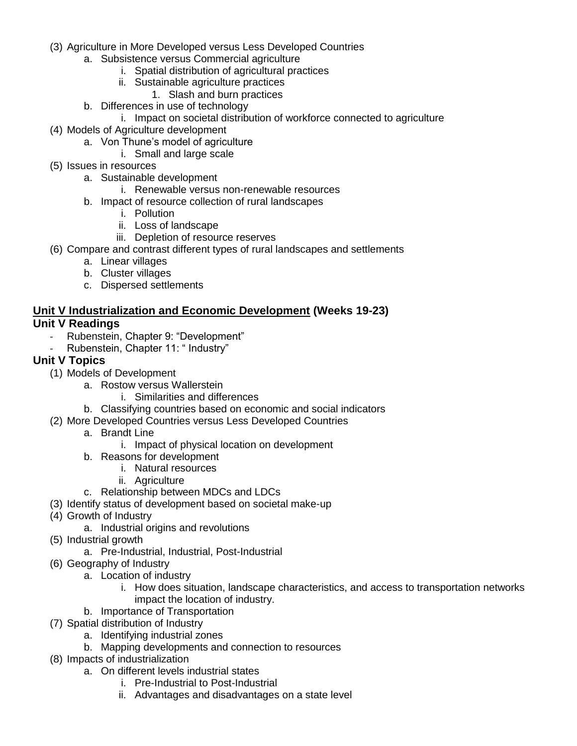- (3) Agriculture in More Developed versus Less Developed Countries
	- a. Subsistence versus Commercial agriculture
		- i. Spatial distribution of agricultural practices
		- ii. Sustainable agriculture practices
			- 1. Slash and burn practices
	- b. Differences in use of technology
		- i. Impact on societal distribution of workforce connected to agriculture
- (4) Models of Agriculture development
	- a. Von Thune's model of agriculture
		- i. Small and large scale
- (5) Issues in resources
	- a. Sustainable development
		- i. Renewable versus non-renewable resources
	- b. Impact of resource collection of rural landscapes
		- i. Pollution
		- ii. Loss of landscape
		- iii. Depletion of resource reserves
- (6) Compare and contrast different types of rural landscapes and settlements
	- a. Linear villages
	- b. Cluster villages
	- c. Dispersed settlements

# **Unit V Industrialization and Economic Development (Weeks 19-23)**

# **Unit V Readings**

- Rubenstein, Chapter 9: "Development"
- Rubenstein, Chapter 11: " Industry"

#### **Unit V Topics**

- (1) Models of Development
	- a. Rostow versus Wallerstein
		- i. Similarities and differences
	- b. Classifying countries based on economic and social indicators
- (2) More Developed Countries versus Less Developed Countries
	- a. Brandt Line
		- i. Impact of physical location on development
	- b. Reasons for development
		- i. Natural resources
		- ii. Agriculture
	- c. Relationship between MDCs and LDCs
- (3) Identify status of development based on societal make-up
- (4) Growth of Industry
	- a. Industrial origins and revolutions
- (5) Industrial growth
	- a. Pre-Industrial, Industrial, Post-Industrial
- (6) Geography of Industry
	- a. Location of industry
		- i. How does situation, landscape characteristics, and access to transportation networks impact the location of industry.
	- b. Importance of Transportation
- (7) Spatial distribution of Industry
	- a. Identifying industrial zones
	- b. Mapping developments and connection to resources
- (8) Impacts of industrialization
	- a. On different levels industrial states
		- i. Pre-Industrial to Post-Industrial
		- ii. Advantages and disadvantages on a state level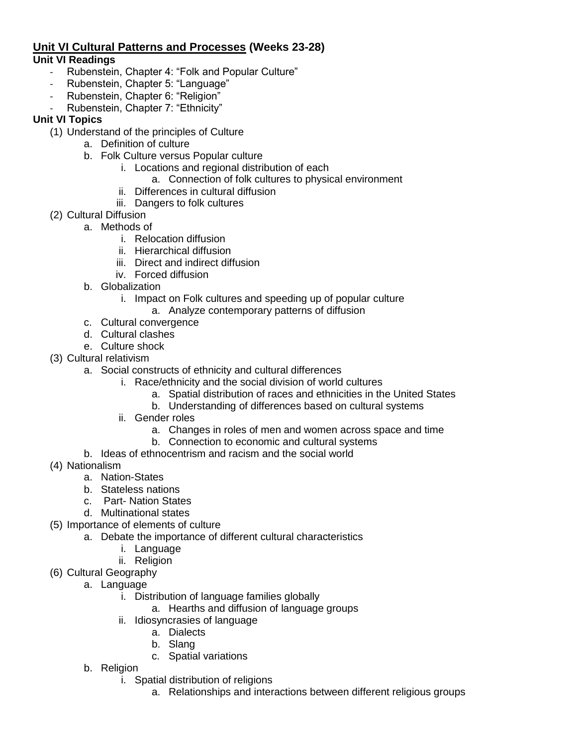#### **Unit VI Cultural Patterns and Processes (Weeks 23-28) Unit VI Readings**

- Rubenstein, Chapter 4: "Folk and Popular Culture"
- Rubenstein, Chapter 5: "Language"
- Rubenstein, Chapter 6: "Religion"
- Rubenstein, Chapter 7: "Ethnicity"

#### **Unit VI Topics**

- (1) Understand of the principles of Culture
	- a. Definition of culture
	- b. Folk Culture versus Popular culture
		- i. Locations and regional distribution of each
			- a. Connection of folk cultures to physical environment
		- ii. Differences in cultural diffusion
		- iii. Dangers to folk cultures
- (2) Cultural Diffusion
	- a. Methods of
		- i. Relocation diffusion
		- ii. Hierarchical diffusion
		- iii. Direct and indirect diffusion
		- iv. Forced diffusion
		- b. Globalization
			- i. Impact on Folk cultures and speeding up of popular culture
				- a. Analyze contemporary patterns of diffusion
		- c. Cultural convergence
		- d. Cultural clashes
		- e. Culture shock
- (3) Cultural relativism
	- a. Social constructs of ethnicity and cultural differences
		- i. Race/ethnicity and the social division of world cultures
			- a. Spatial distribution of races and ethnicities in the United States
			- b. Understanding of differences based on cultural systems
		- ii. Gender roles
			- a. Changes in roles of men and women across space and time
			- b. Connection to economic and cultural systems
	- b. Ideas of ethnocentrism and racism and the social world
- (4) Nationalism
	- a. Nation-States
	- b. Stateless nations
	- c. Part- Nation States
	- d. Multinational states
- (5) Importance of elements of culture
	- a. Debate the importance of different cultural characteristics
		- i. Language
		- ii. Religion
- (6) Cultural Geography
	- a. Language
		- i. Distribution of language families globally
			- a. Hearths and diffusion of language groups
		- ii. Idiosyncrasies of language
			- a. Dialects
			- b. Slang
			- c. Spatial variations
	- b. Religion
		- i. Spatial distribution of religions
			- a. Relationships and interactions between different religious groups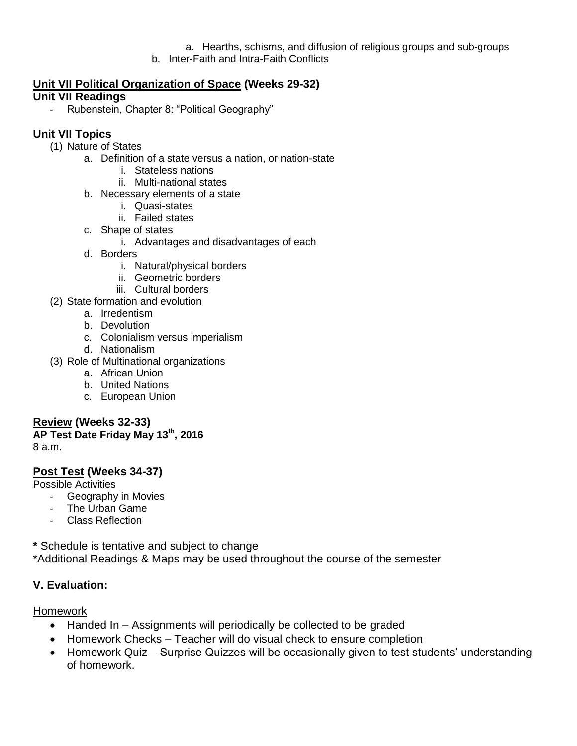a. Hearths, schisms, and diffusion of religious groups and sub-groups

b. Inter-Faith and Intra-Faith Conflicts

#### **Unit VII Political Organization of Space (Weeks 29-32) Unit VII Readings**

- Rubenstein, Chapter 8: "Political Geography"

# **Unit VII Topics**

- (1) Nature of States
	- a. Definition of a state versus a nation, or nation-state
		- i. Stateless nations
		- ii. Multi-national states
	- b. Necessary elements of a state
		- i. Quasi-states
		- ii. Failed states
	- c. Shape of states
		- i. Advantages and disadvantages of each
	- d. Borders
		- i. Natural/physical borders
		- ii. Geometric borders
		- iii. Cultural borders
- (2) State formation and evolution
	- a. Irredentism
	- b. Devolution
	- c. Colonialism versus imperialism
	- d. Nationalism
- (3) Role of Multinational organizations
	- a. African Union
	- b. United Nations
	- c. European Union

#### **Review (Weeks 32-33)**

**AP Test Date Friday May 13 th , 2016** 8 a.m.

# **Post Test (Weeks 34-37)**

Possible Activities

- Geography in Movies
- The Urban Game
- Class Reflection

**\*** Schedule is tentative and subject to change

\*Additional Readings & Maps may be used throughout the course of the semester

#### **V. Evaluation:**

#### Homework

- Handed In Assignments will periodically be collected to be graded
- Homework Checks Teacher will do visual check to ensure completion
- Homework Quiz Surprise Quizzes will be occasionally given to test students' understanding of homework.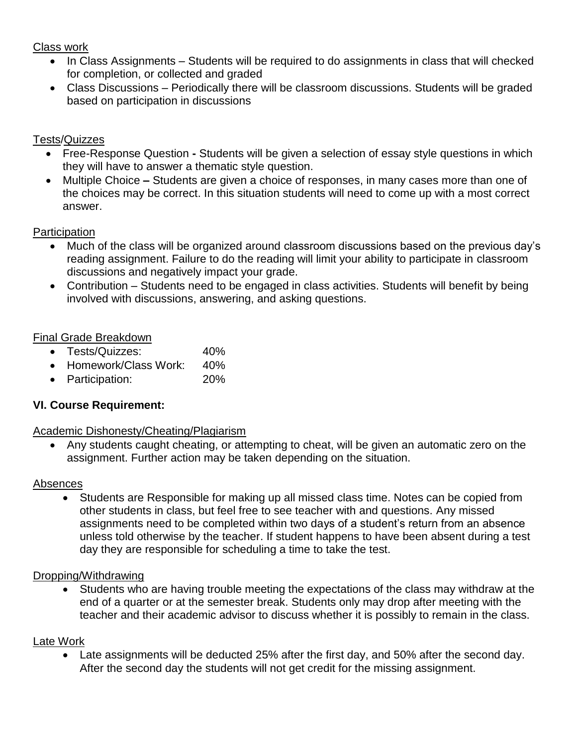# Class work

- In Class Assignments Students will be required to do assignments in class that will checked for completion, or collected and graded
- Class Discussions Periodically there will be classroom discussions. Students will be graded based on participation in discussions

# Tests/Quizzes

- Free-Response Question **-** Students will be given a selection of essay style questions in which they will have to answer a thematic style question.
- Multiple Choice **–** Students are given a choice of responses, in many cases more than one of the choices may be correct. In this situation students will need to come up with a most correct answer.

# **Participation**

- Much of the class will be organized around classroom discussions based on the previous day's reading assignment. Failure to do the reading will limit your ability to participate in classroom discussions and negatively impact your grade.
- Contribution Students need to be engaged in class activities. Students will benefit by being involved with discussions, answering, and asking questions.

# Final Grade Breakdown

- Tests/Quizzes: 40%
- Homework/Class Work: 40%
- Participation: 20%

# **VI. Course Requirement:**

#### Academic Dishonesty/Cheating/Plagiarism

 Any students caught cheating, or attempting to cheat, will be given an automatic zero on the assignment. Further action may be taken depending on the situation.

#### Absences

 Students are Responsible for making up all missed class time. Notes can be copied from other students in class, but feel free to see teacher with and questions. Any missed assignments need to be completed within two days of a student's return from an absence unless told otherwise by the teacher. If student happens to have been absent during a test day they are responsible for scheduling a time to take the test.

#### Dropping/Withdrawing

 Students who are having trouble meeting the expectations of the class may withdraw at the end of a quarter or at the semester break. Students only may drop after meeting with the teacher and their academic advisor to discuss whether it is possibly to remain in the class.

#### Late Work

 Late assignments will be deducted 25% after the first day, and 50% after the second day. After the second day the students will not get credit for the missing assignment.